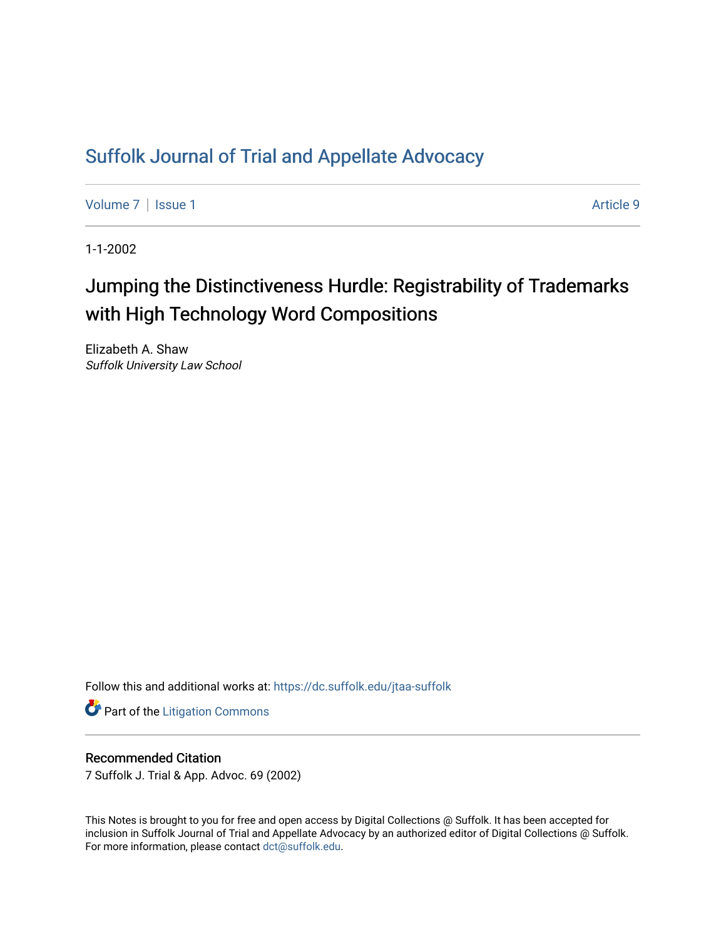## [Suffolk Journal of Trial and Appellate Advocacy](https://dc.suffolk.edu/jtaa-suffolk)

[Volume 7](https://dc.suffolk.edu/jtaa-suffolk/vol7) | [Issue 1](https://dc.suffolk.edu/jtaa-suffolk/vol7/iss1) Article 9

1-1-2002

# Jumping the Distinctiveness Hurdle: Registrability of Trademarks with High Technology Word Compositions

Elizabeth A. Shaw Suffolk University Law School

Follow this and additional works at: [https://dc.suffolk.edu/jtaa-suffolk](https://dc.suffolk.edu/jtaa-suffolk?utm_source=dc.suffolk.edu%2Fjtaa-suffolk%2Fvol7%2Fiss1%2F9&utm_medium=PDF&utm_campaign=PDFCoverPages) 

**Part of the [Litigation Commons](https://network.bepress.com/hgg/discipline/910?utm_source=dc.suffolk.edu%2Fjtaa-suffolk%2Fvol7%2Fiss1%2F9&utm_medium=PDF&utm_campaign=PDFCoverPages)** 

#### Recommended Citation

7 Suffolk J. Trial & App. Advoc. 69 (2002)

This Notes is brought to you for free and open access by Digital Collections @ Suffolk. It has been accepted for inclusion in Suffolk Journal of Trial and Appellate Advocacy by an authorized editor of Digital Collections @ Suffolk. For more information, please contact [dct@suffolk.edu](mailto:dct@suffolk.edu).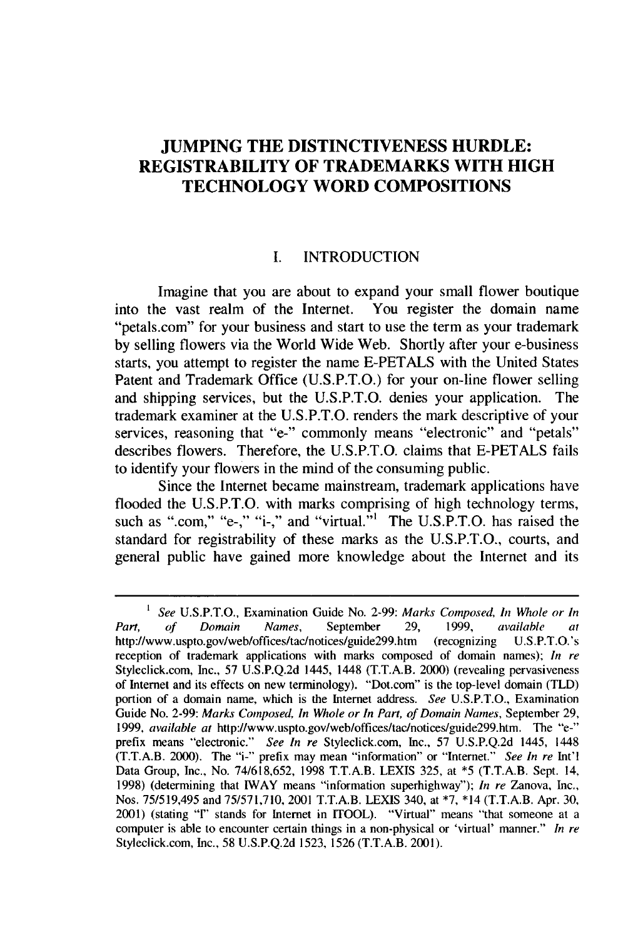### **JUMPING THE DISTINCTIVENESS HURDLE: REGISTRABILITY OF TRADEMARKS WITH HIGH TECHNOLOGY WORD COMPOSITIONS**

#### **I.** INTRODUCTION

Imagine that you are about to expand your small flower boutique into the vast realm of the Internet. You register the domain name "petals.com" for your business and start to use the term as your trademark **by** selling flowers via the World Wide Web. Shortly after your e-business starts, you attempt to register the name **E-PETALS** with the United States Patent and Trademark Office **(U.S.P.T.O.)** for your on-line flower selling and shipping services, but the **U.S.P.T.O.** denies your application. The trademark examiner at the **U.S.P.T.O.** renders the mark descriptive of your services, reasoning that "e-" commonly means "electronic" and "petals" describes flowers. Therefore, the U.S.P.T.O. claims that **E-PETALS** fails to identify your flowers in the mind of the consuming public.

Since the Internet became mainstream, trademark applications have flooded the U.S.P.T.O. with marks comprising of high technology terms, such as ".com," "e-," "i-," and "virtual."<sup>1</sup> The U.S.P.T.O. has raised the standard for registrability of these marks as the **U.S.P.T.O.,** courts, and general public have gained more knowledge about the Internet and its

*<sup>1</sup>* See **U.S.P.T.O.,** Examination Guide No. **2-99:** *Marks Composed, In Whole or In Part, of* Domain *Names,* September 29, 1999, available *at* http://www.uspto.gov/web/offices/tac/notices/guide299.htm (recognizing U.S.P.T.O.'s reception of trademark applications with marks composed of domain names); *In re* Styleclick.com, Inc., 57 U.S.P.Q.2d 1445, 1448 (T.T.A.B. 2000) (revealing pervasiveness of Internet and its effects on new terminology). "Dot.com" is the top-level domain (TLD) portion of a domain name, which is the Internet address. *See* U.S.P.T.O., Examination Guide No. 2-99: *Marks Composed, In Whole or In Part, of Domain Names,* September 29, 1999, *available at http://www.uspto.gov/web/offices/tac/notices/guide299.htm.* The "e-" prefix means "electronic." *See In re* Styleclick.com, Inc., 57 U.S.P.Q.2d 1445, 1448 (T.T.A.B. 2000). The "i-" prefix may mean "information" or "Internet." *See In re* Int'l Data Group, Inc., No. 74/618,652, 1998 T.T.A.B. LEXIS 325, at \*5 (T.T.A.B. Sept. 14, 1998) (determining that IWAY means "information superhighway"); *In re* Zanova, Inc., Nos. 75/519,495 and 75/571,710, 2001 T.T.A.B. LEXIS 340, at \*7, **\*14** (T.T.A.B. Apr. 30, 2001) (stating "I" stands for Internet in ITOOL). "Virtual" means "that someone at a computer is able to encounter certain things in a non-physical or 'virtual' manner." *In re* Styleclick.com, Inc., 58 U.S.P.Q.2d 1523, 1526 (T.T.A.B. 2001).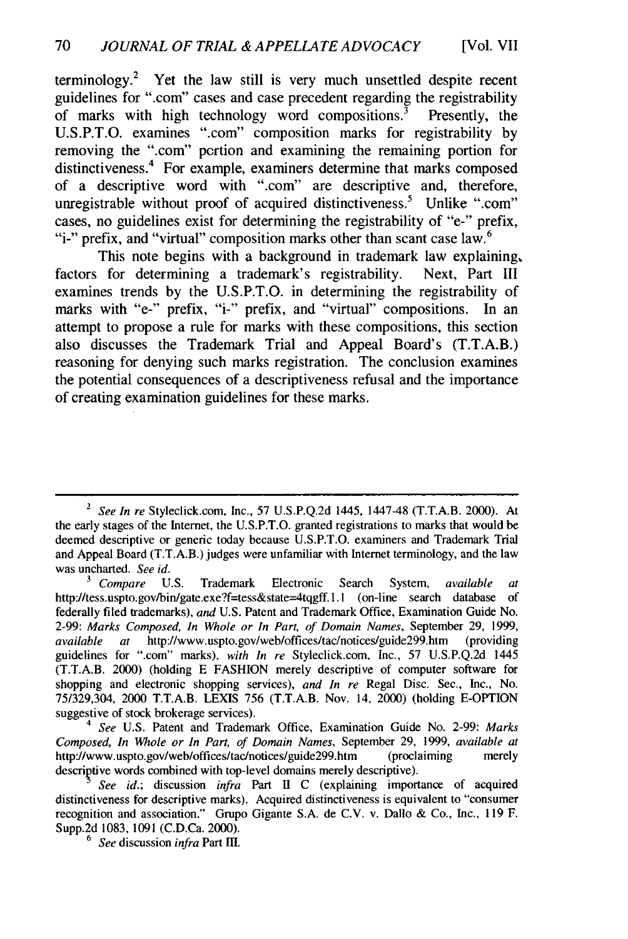terminology.2 Yet the law still is very much unsettled despite recent guidelines for ".com" cases and case precedent regarding the registrability of marks with high technology word compositions.<sup>3</sup> Presently, the of marks with high technology word compositions.<sup>3</sup> U.S.P.T.O. examines ".com" composition marks for registrability by removing the ".com" portion and examining the remaining portion for distinctiveness.4 For example, examiners determine that marks composed of a descriptive word with ".com" are descriptive and, therefore, unregistrable without proof of acquired distinctiveness.<sup>5</sup> Unlike ".com" cases, no guidelines exist for determining the registrability of "e-" prefix, "i-" prefix, and "virtual" composition marks other than scant case law.<sup>6</sup>

This note begins with a background in trademark law explaining, factors for determining a trademark's registrability. Next, Part III examines trends by the U.S.P.T.O. in determining the registrability of marks with "e-" prefix, "i-" prefix, and "virtual" compositions. In an attempt to propose a rule for marks with these compositions, this section also discusses the Trademark Trial and Appeal Board's (T.T.A.B.) reasoning for denying such marks registration. The conclusion examines the potential consequences of a descriptiveness refusal and the importance of creating examination guidelines for these marks.

*See In re* Styleclick.com, Inc., 57 U.S.P.Q.2d 1445, 1447-48 (T.T.A.B. 2000). At the early stages of the Internet, the U.S.P.T.O. granted registrations to marks that would be deemed descriptive or generic today because U.S.P.T.O. examiners and Trademark Trial and Appeal Board (T.T.A.B.) judges were unfamiliar with Internet terminology, and the law was uncharted. *See id.*

**<sup>3</sup>***Compare* U.S. Trademark Electronic Search System, *available at* http://tess.uspto.gov/bin/gate.exe?f=tess&state=4tqgff. **1.1** (on-line search database of federally filed trademarks), *and* U.S. Patent and Trademark Office, Examination Guide No. 2-99: Marks *Composed, In Whole or In Part, of Domain Names,* September 29, 1999, available at http://www.uspto.gov/web/offices/tac/notices/guide299.htm (providing guidelines for ".com" marks), *with In re* Styleclick.com, Inc., 57 U.S.P.Q.2d 1445 (T.T.A.B. 2000) (holding E FASHION merely descriptive of computer software for shopping and electronic shopping services), *and In re* Regal Disc. Sec., Inc., No. 75/329,304, 2000 T.T.A.B. LEXIS 756 (T.T.A.B. Nov. 14, 2000) (holding E-OPTION suggestive of stock brokerage services).

<sup>4</sup>*See* U.S. Patent and Trademark Office, Examination Guide No. 2-99: *Marks Composed, In Whole or In Part, of Domain Names,* September 29, 1999, *available at* http://www.uspto.gov/web/offices/tac/notices/guide299.htm (proclaiming merely descriptive words combined with top-level domains merely descriptive).

*See id.;* discussion *infra* Part II C (explaining importance of acquired distinctiveness for descriptive marks). Acquired distinctiveness is equivalent to "consumer recognition and association." Grupo Gigante S.A. de C.V. v. Dallo & Co., Inc., 119 F. Supp.2d 1083, 1091 (C.D.Ca. 2000).

<sup>6</sup> See discussion *infra* Part III.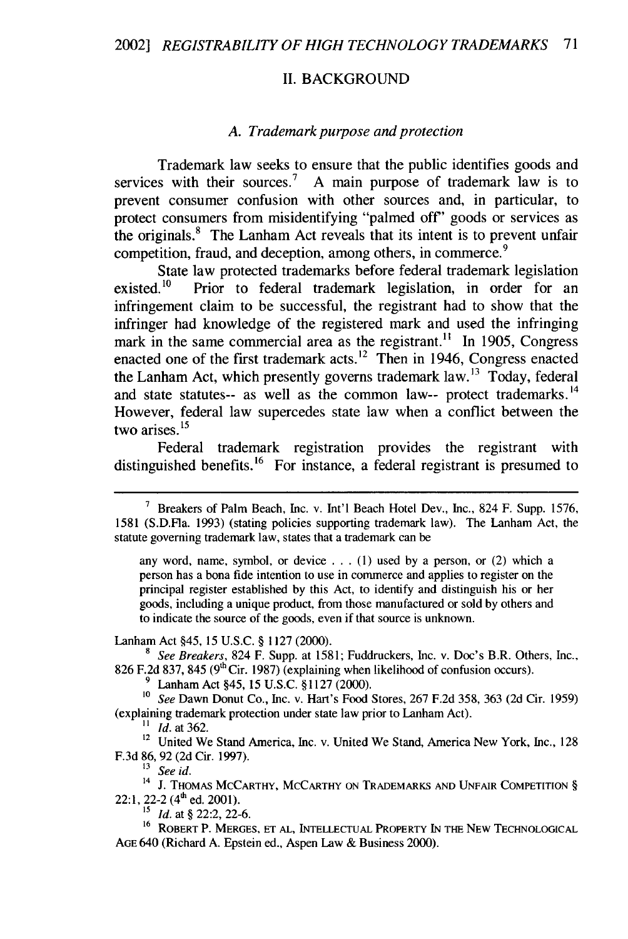#### **II. BACKGROUND**

#### *A. Trademark purpose and protection*

Trademark law seeks to ensure that the public identifies goods and services with their sources.<sup>7</sup> A main purpose of trademark law is to prevent consumer confusion with other sources and, in particular, to protect consumers from misidentifying "palmed off' goods or services as the originals.8 The Lanham Act reveals that its intent is to prevent unfair competition, fraud, and deception, among others, in commerce.<sup>9</sup>

State law protected trademarks before federal trademark legislation existed.<sup>10</sup> Prior to federal trademark legislation, in order for an infringement claim to be successful, the registrant had to show that the infringer had knowledge of the registered mark and used the infringing mark in the same commercial area as the registrant.<sup>11</sup> In 1905, Congress enacted one of the first trademark acts.<sup>12</sup> Then in 1946, Congress enacted the Lanham Act, which presently governs trademark law.<sup>13</sup> Today, federal and state statutes-- as well as the common law-- protect trademarks.<sup>14</sup> However, federal law supercedes state law when a conflict between the two arises. **<sup>15</sup>**

Federal trademark registration provides the registrant with distinguished benefits.<sup>16</sup> For instance, a federal registrant is presumed to

any word, name, symbol, or device . . . (1) used by a person, or (2) which a person has a bona fide intention to use in commerce and applies to register on the principal register established by this Act, to identify and distinguish his or her goods, including a unique product, from those manufactured or sold by others and to indicate the source of the goods, even if that source is unknown.

Lanham Act §45, 15 U.S.C. § 1127 (2000).

*<sup>8</sup>See Breakers,* 824 F. Supp. at 1581; Fuddruckers, Inc. v. Doc's B.R. Others, Inc., 826 F.2d 837, 845 ( $9<sup>th</sup>$  Cir. 1987) (explaining when likelihood of confusion occurs)

**9** Lanham Act §45, 15 U.S.C. §1127 (2000).

**10** *See* Dawn Donut Co., Inc. v. Hart's Food Stores, 267 F.2d 358, 363 (2d Cir. 1959) (explaining trademark protection under state law prior to Lanham Act).

 $11$  *Id.* at 362.

<sup>12</sup> United We Stand America, Inc. v. United We Stand, America New York, Inc., 128 F.3d 86, 92 (2d Cir. 1997).

**13** *See id.*

<sup>14</sup> J. Thomas McCarthy, McCarthy on Trademarks and Unfair Competition § 22:1, 22-2 (4<sup>th</sup> ed. 2001).

 $\frac{15}{15}$  *Id.* at § 22:2, 22-6.

16 ROBERT P. MERGES, **ET AL, INTELLECTUAL** PROPERTY **IN** THE NEW **TECHNOLOGICAL AGE** 640 (Richard A. Epstein ed., Aspen Law & Business 2000).

<sup>&</sup>lt;sup>7</sup> Breakers of Palm Beach, Inc. v. Int'l Beach Hotel Dev., Inc., 824 F. Supp. 1576, 1581 (S.D.Fla. 1993) (stating policies supporting trademark law). The Lanham Act, the statute governing trademark law, states that a trademark can be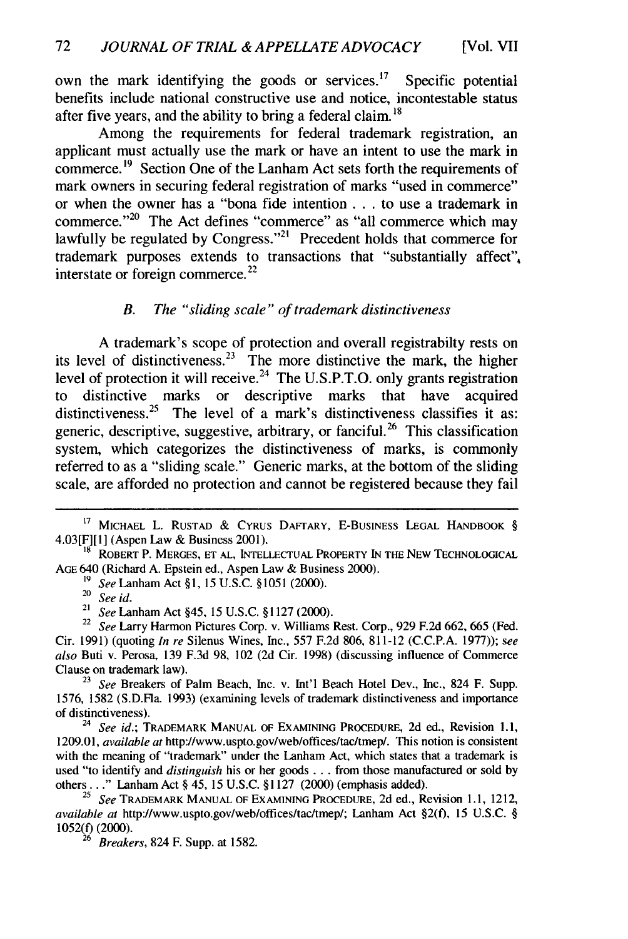own the mark identifying the goods or services.<sup>17</sup> Specific potential benefits include national constructive use and notice, incontestable status after five years, and the ability to bring a federal claim. **<sup>18</sup>**

Among the requirements for federal trademark registration, an applicant must actually use the mark or have an intent to use the mark in commerce.<sup>19</sup> Section One of the Lanham Act sets forth the requirements of mark owners in securing federal registration of marks "used in commerce" or when the owner has a "bona fide intention **. . .** to use a trademark in commerce."<sup>20</sup> The Act defines "commerce" as "all commerce which may lawfully be regulated by Congress."<sup>21</sup> Precedent holds that commerce for trademark purposes extends to transactions that "substantially affect", interstate or foreign commerce. $^{22}$ 

#### B. The *"sliding scale"* of trademark *distinctiveness*

A trademark's scope of protection and overall registrabilty rests on its level of distinctiveness. $2<sup>3</sup>$  The more distinctive the mark, the higher level of protection it will receive.<sup>24</sup> The U.S.P.T.O. only grants registration to distinctive marks or descriptive marks that have acquired distinctiveness.<sup>25</sup> The level of a mark's distinctiveness classifies it as: generic, descriptive, suggestive, arbitrary, or fanciful.<sup>26</sup> This classification system, which categorizes the distinctiveness of marks, is commonly referred to as a "sliding scale." Generic marks, at the bottom of the sliding scale, are afforded no protection and cannot be registered because they fail

<sup>19</sup> *See* Lanham Act §1, 15 U.S.C. §1051 (2000).

<sup>&</sup>lt;sup>17</sup> MICHAEL L. RUSTAD & CYRUS DAFTARY, E-BUSINESS LEGAL HANDBOOK § 4.03[F][1] (Aspen Law & Business 2001).

**<sup>18</sup>** ROBERT P. MERGES, ET AL, INTELLECTUAL PROPERTY IN THE NEW TECHNOLOGICAL AGE 640 (Richard A. Epstein ed., Aspen Law & Business 2000).

See id.

<sup>21</sup>*See* Lanham Act §45, 15 U.S.C. § 1127 (2000).

<sup>22</sup>*See* Larry Harmon Pictures Corp. v. Williams Rest. Corp., 929 F.2d 662, 665 (Fed. Cir. 1991) (quoting *In re* Silenus Wines, Inc., 557 F.2d 806, 811-12 (C.C.P.A. 1977)); *see also* Buti v. Perosa, 139 F.3d 98, 102 (2d Cir. 1998) (discussing influence of Commerce Clause on trademark law).

**<sup>23</sup>***See* Breakers of Palm Beach, Inc. v. Int'l Beach Hotel Dev., Inc., 824 F. Supp. 1576, 1582 (S.D.Fa. 1993) (examining levels of trademark distinctiveness and importance of distinctiveness).

<sup>24</sup>*See id.;* TRADEMARK MANUAL OF EXAMINING PROCEDURE, 2d ed., Revision 1.1, 1209.01, *available at* http://www.uspto.gov/web/offices/tac/tmep/. This notion is consistent with the meaning of "trademark" under the Lanham Act, which states that a trademark is used "to identify and *distinguish* his or her goods **...** from those manufactured or sold by others..." Lanham Act § 45, 15 U.S.C. §1127 (2000) (emphasis added).

<sup>25</sup>*See* TRADEMARK MANUAL OF EXAMINING PROCEDURE, 2d ed., Revision 1.1, 1212, *available at* http://www.uspto.gov/web/offices/tac/tmep/; Lanham Act §2(f), 15 U.S.C. § 1052(f) (2000).

**<sup>26</sup>***Breakers,* 824 F. Supp. at 1582.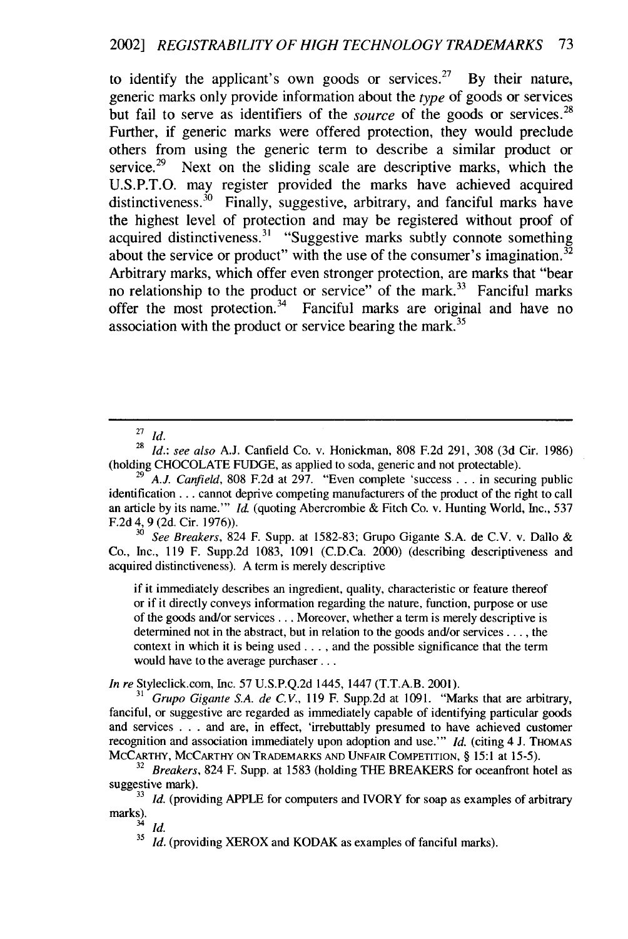to identify the applicant's own goods or services.<sup>27</sup> By their nature, generic marks only provide information about the *type* of goods or services but fail to serve as identifiers of the *source* of the goods or services.<sup>28</sup> Further, if generic marks were offered protection, they would preclude others from using the generic term to describe a similar product or service.<sup>29</sup> Next on the sliding scale are descriptive marks, which the U.S.P.T.O. may register provided the marks have achieved acquired distinctiveness.<sup>30</sup> Finally, suggestive, arbitrary, and fanciful marks have the highest level of protection and may be registered without proof of acquired distinctiveness.<sup>31</sup> "Suggestive marks subtly connote something about the service or product" with the use of the consumer's imagination.<sup>32</sup> Arbitrary marks, which offer even stronger protection, are marks that "bear no relationship to the product or service" of the mark.<sup>33</sup> Fanciful marks offer the most protection.<sup>34</sup> Fanciful marks are original and have no association with the product or service bearing the mark.<sup>35</sup>

<sup>28</sup>*Id.: see also* A.J. Canfield Co. v. Honickman, 808 F.2d 291, 308 (3d Cir. 1986) (holding CHOCOLATE **FUDGE,** as applied to soda, generic and not protectable).

<sup>30</sup>*See Breakers,* 824 F. Supp. at 1582-83; Grupo Gigante S.A. de **C.V.** v. Dallo & Co., Inc., 119 F. Supp.2d 1083, 1091 (C.D.Ca. 2000) (describing descriptiveness and acquired distinctiveness). A term is merely descriptive

if it immediately describes an ingredient, quality, characteristic or feature thereof or if it directly conveys information regarding the nature, function, purpose or use of the goods and/or services... Moreover, whether a term is merely descriptive is determined not in the abstract, but in relation to the goods and/or services .... the context in which it is being used  $\dots$ , and the possible significance that the term would have to the average purchaser...

*In re* Styleclick.com, Inc. 57 U.S.P.Q.2d 1445, 1447 (T.T.A.B. 2001).

31 Grupo *Gigante S.A. de C.V.,* 119 F. Supp.2d at 1091. "Marks that are arbitrary, fanciful, or suggestive are regarded as immediately capable of identifying particular goods and services . . . and are, in effect, 'irrebuttably presumed to have achieved customer recognition and association immediately upon adoption and use."' *Id.* (citing 4 J. **THOMAS** MCCARTHY, MCCARTHY **ON** TRADEMARKS **AND UNFAIR** COMPETITION, § 15:1 at 15-5).

34 *Id.*

**<sup>27</sup>***Id.*

 $2^{9}$  A.J. Canfield, 808 F.2d at 297. "Even complete 'success . . . in securing public identification... cannot deprive competing manufacturers of the product of the right to call an article by its name."' *Id.* (quoting Abercrombie & Fitch Co. v. Hunting World, Inc., 537 F.2d 4, 9 (2d. Cir. 1976)).

<sup>&</sup>lt;sup>32</sup> Breakers, 824 F. Supp. at 1583 (holding THE BREAKERS for oceanfront hotel as suggestive mark).

<sup>&</sup>lt;sup>33</sup> *Id.* (providing APPLE for computers and IVORY for soap as examples of arbitrary marks).

<sup>&</sup>lt;sup>35</sup> *Id.* (providing XEROX and KODAK as examples of fanciful marks).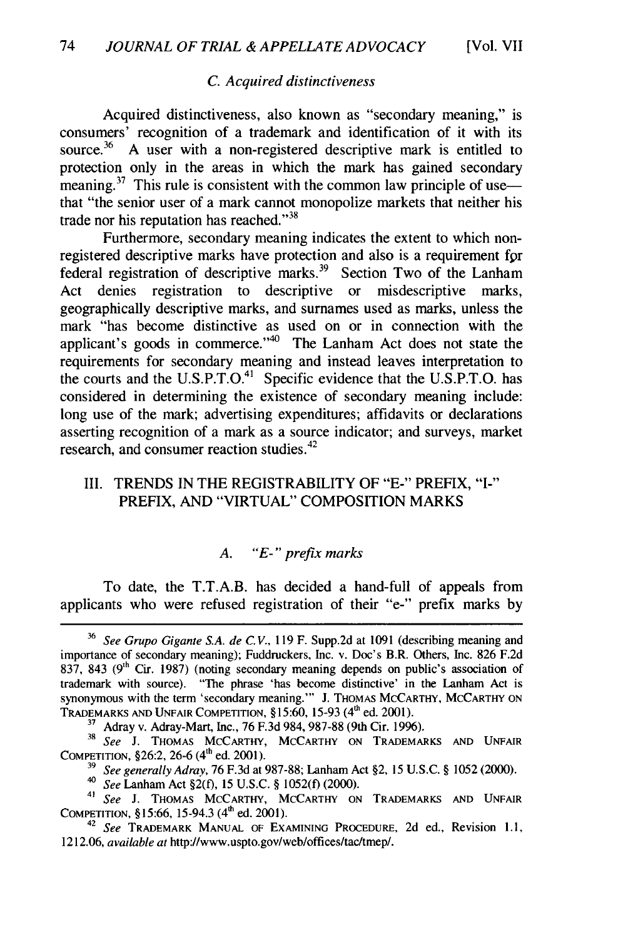#### *C. Acquired distinctiveness*

Acquired distinctiveness, also known as "secondary meaning," is consumers' recognition of a trademark and identification of it with its source.<sup>36</sup> A user with a non-registered descriptive mark is entitled to protection only in the areas in which the mark has gained secondary meaning.<sup>37</sup> This rule is consistent with the common law principle of use that "the senior user of a mark cannot monopolize markets that neither his trade nor his reputation has reached."<sup>38</sup>

Furthermore, secondary meaning indicates the extent to which nonregistered descriptive marks have protection and also is a requirement *fpr* federal registration of descriptive marks.<sup>39</sup> Section Two of the Lanham Act denies registration to descriptive or misdescriptive marks, geographically descriptive marks, and surnames used as marks, unless the mark "has become distinctive as used on or in connection with the applicant's goods in commerce. $140$  The Lanham Act does not state the requirements for secondary meaning and instead leaves interpretation to the courts and the U.S.P.T.O.<sup>41</sup> Specific evidence that the U.S.P.T.O. has considered in determining the existence of secondary meaning include: long use of the mark; advertising expenditures; affidavits or declarations asserting recognition of a mark as a source indicator; and surveys, market research, and consumer reaction studies.<sup>42</sup>

#### III. TRENDS IN THE REGISTRABILITY OF "E-" PREFIX, "I-" PREFIX, AND "VIRTUAL" COMPOSITION MARKS

#### *A. "E-" prefix marks*

To date, the T.T.A.B. has decided a hand-full of appeals from applicants who were refused registration of their "e-" prefix marks by

<sup>42</sup>*See* TRADEMARK MANUAL OF EXAMINING PROCEDURE, 2d ed., Revision 1.1, 1212.06, *available at* http://www.uspto.gov/web/offices/tac/tmep/.

**<sup>36</sup>***See Grupo Gigante S.A. de C. V.,* 119 F. Supp.2d at 1091 (describing meaning and importance of secondary meaning); Fuddruckers, Inc. v. Doc's B.R. Others, Inc. 826 F.2d 837, 843 ( $9<sup>th</sup>$  Cir. 1987) (noting secondary meaning depends on public's association of trademark with source). "The phrase 'has become distinctive' in the Lanham Act is synonymous with the term 'secondary meaning."" J. THOMAS MCCARTHY, MCCARTHY ON TRADEMARKS AND UNFAIR COMPETITION, §15:60, 15-93 (4<sup>th</sup> ed. 2001).

**<sup>37</sup>**Adray v. Adray-Mart, Inc., 76 F.3d 984, 987-88 (9th Cir. 1996).

**<sup>38</sup>***See* **J. THOMAS** MCCARTHY, MCCARTHY ON TRADEMARKS **AND** UNFAIR COMPETITION, §26:2, 26-6 (4<sup>th</sup> ed. 2001).

**<sup>39</sup>***See generally Adray,* 76 F.3d at 987-88; Lanham Act §2, 15 U.S.C. **§** 1052 (2000).

*<sup>40</sup>See* Lanham Act §2(f), 15 U.S.C. **§** 1052(f) (2000).

**<sup>41</sup>***See* J. THOMAS MCCARTHY, MCCARTHY ON TRADEMARKS AND UNFAIR COMPETITION, §15:66, 15-94.3 (4<sup>th</sup> ed. 2001)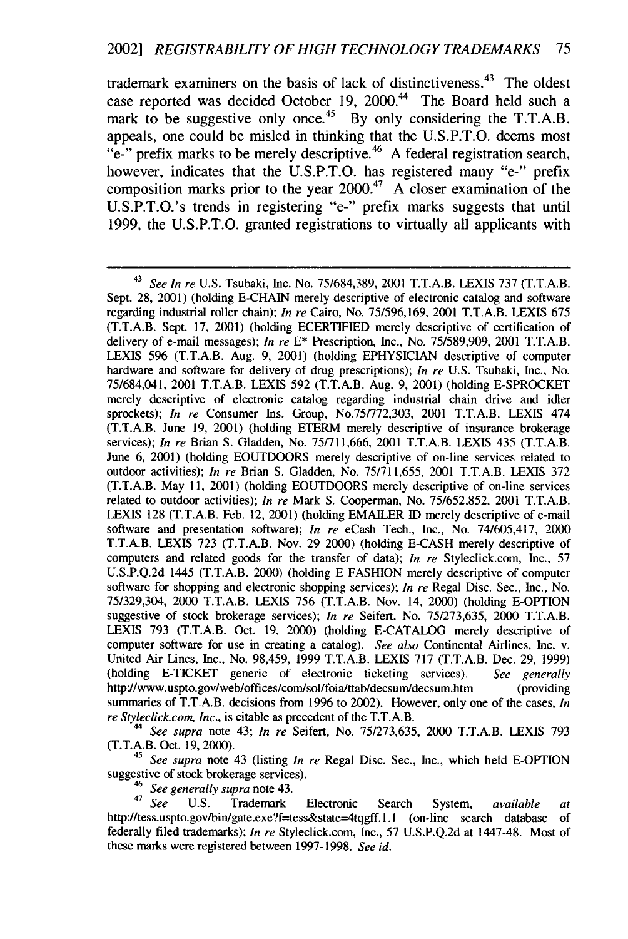trademark examiners on the basis of lack of distinctiveness.<sup>43</sup> The oldest case reported was decided October 19, 2000.<sup>44</sup> The Board held such a mark to be suggestive only once.<sup>45</sup> By only considering the T.T.A.B. appeals, one could be misled in thinking that the U.S.P.T.O. deems most "e-" prefix marks to be merely descriptive.<sup>46</sup> A federal registration search, however, indicates that the U.S.P.T.O. has registered many "e-" prefix composition marks prior to the year  $2000<sup>47</sup>$  A closer examination of the U.S.P.T.O.'s trends in registering "e-" prefix marks suggests that until 1999, the U.S.P.T.O. granted registrations to virtually all applicants with

*<sup>44</sup>See* supra note 43; *In re* Seifert, No. 75/273,635, 2000 T.T.A.B. LEXIS 793 (T.T.A.B. Oct. 19, 2000).

*<sup>45</sup>See supra* note 43 (listing *In re* Regal Disc. Sec., Inc., which held E-OPTION suggestive of stock brokerage services).

*<sup>46</sup>See generally supra* note 43. <sup>47</sup>*See* U.S. Trademark Electronic Search System, *available at* http://tess.uspto.gov/bin/gate.exe?f=tess&state=4tqgff.1.1 (on-line search database of federally filed trademarks); *In re* Styleclick.com, Inc., 57 U.S.P.Q.2d at 1447-48. Most of these marks were registered between 1997-1998. *See id.*

<sup>43</sup>*See In re* U.S. Tsubaki, Inc. No. 75/684,389, 2001 T.T.A.B. LEXIS 737 (T.T.A.B. Sept. 28, 2001) (holding E-CHAIN merely descriptive of electronic catalog and software regarding industrial roller chain); *In re* Cairo, No. 75/596,169, 2001 T.T.A.B. LEXIS 675 (T.T.A.B. Sept. 17, 2001) (holding ECERTIFIED merely descriptive of certification of delivery of e-mail messages); *In re* E\* Prescription, Inc., No. 75/589,909, 2001 T.T.A.B. LEXIS 596 (T.T.A.B. Aug. 9, 2001) (holding EPHYSICIAN descriptive of computer hardware and software for delivery of drug prescriptions); *In re* U.S. Tsubaki, Inc., No. 75/684,041, 2001 T.T.A.B. LEXIS 592 (T.T.A.B. Aug. 9, 2001) (holding E-SPROCKET merely descriptive of electronic catalog regarding industrial chain drive and idler sprockets); *In re* Consumer Ins. Group, No.75/772,303, 2001 T.T.A.B. LEXIS 474 (T.T.A.B. June 19, 2001) (holding ETERM merely descriptive of insurance brokerage services); *In re* Brian S. Gladden, No. 75/711,666, 2001 T.T.A.B. LEXIS 435 (T.T.A.B. June 6, 2001) (holding EOUTDOORS merely descriptive of on-line services related to outdoor activities); *In re* Brian S. Gladden, No. 75/711,655, 2001 T.T.A.B. LEXIS 372 (T.T.A.B. May 11, 2001) (holding EOUTDOORS merely descriptive of on-line services related to outdoor activities); *In re* Mark S. Cooperman, No. 75/652,852, 2001 T.T.A.B. LEXIS 128 (T.T.A.B. Feb. 12, 2001) (holding EMAILER ID merely descriptive of e-mail software and presentation software); *In re* eCash Tech., Inc., No. 74/605,417, 2000 T.T.A.B. LEXIS 723 (T.T.A.B. Nov. 29 2000) (holding E-CASH merely descriptive of computers and related goods for the transfer of data); *In re* Styleclick.com, Inc., 57 U.S.P.Q.2d 1445 (T.T.A.B. 2000) (holding E FASHION merely descriptive of computer software for shopping and electronic shopping services); *In re* Regal Disc. Sec., Inc., No. 75/329,304, 2000 T.T.A.B. LEXIS 756 (T.T.A.B. Nov. 14, 2000) (holding E-OPTION suggestive of stock brokerage services); *In re* Seifert, No. 75/273,635, 2000 T.T.A.B. LEXIS 793 (T.T.A.B. Oct. 19, 2000) (holding E-CATALOG merely descriptive of computer software for use in creating a catalog). *See also* Continental Airlines, Inc. v. United Air Lines, Inc., No. 98,459, 1999 T.T.A.B. LEXIS 717 (T.T.A.B. Dec. 29, 1999) (holding E-TICKET generic of electronic ticketing services). *See generally* http:l/www.uspto.gov/webloffices/com/sol/foia/ttab/decsum/decsum.htm (providing summaries of T.T.A.B. decisions from 1996 to 2002). However, only one of the cases, *In re Styleclick.com, Inc.,* is citable as precedent of the T.T.A.B.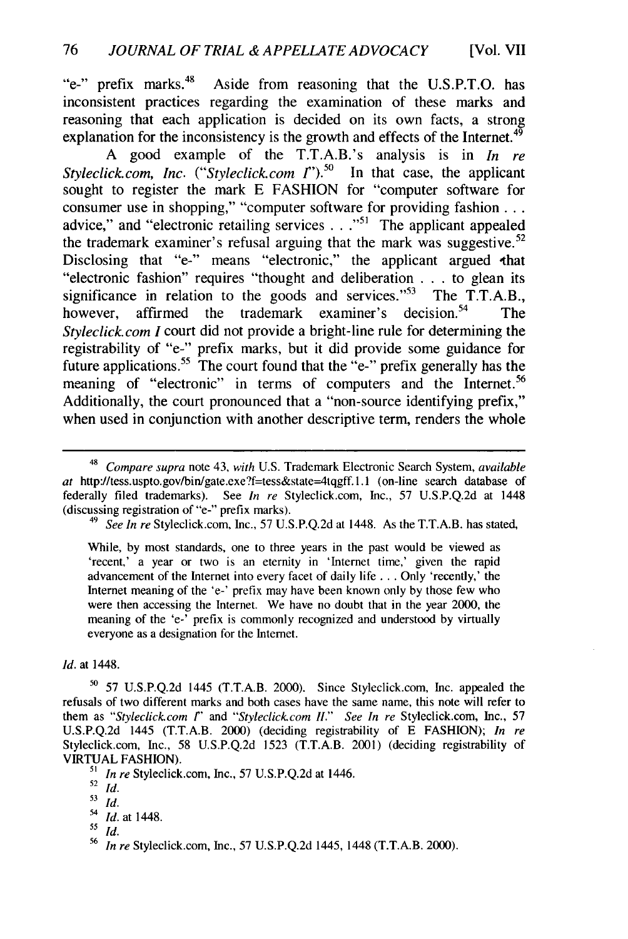"e-" prefix marks.<sup>48</sup> Aside from reasoning that the U.S.P.T.O. has inconsistent practices regarding the examination of these marks and reasoning that each application is decided on its own facts, a strong explanation for the inconsistency is the growth and effects of the Internet.<sup>49</sup>

A good example of the T.T.A.B.'s analysis is in *In re Styleclick.com, Inc.* ("*Styleclick.com I*").<sup>50</sup> In that case, the applicant sought to register the mark E FASHION for "computer software for consumer use in shopping," "computer software for providing fashion... advice," and "electronic retailing services . . .<sup>51</sup> The applicant appealed the trademark examiner's refusal arguing that the mark was suggestive.<sup>52</sup> Disclosing that "e-" means "electronic," the applicant argued that "electronic fashion" requires "thought and deliberation . **.** . to glean its significance in relation to the goods and services." $53$  The T.T.A.B., however, affirmed the trademark examiner's decision.<sup>54</sup> The *Styleclick.com I* court did not provide a bright-line rule for determining the registrability of "e-" prefix marks, but it did provide some guidance for future applications.<sup>55</sup> The court found that the "e-" prefix generally has the meaning of "electronic" in terms of computers and the Internet.<sup>56</sup> Additionally, the court pronounced that a "non-source identifying prefix," when used in conjunction with another descriptive term, renders the whole

<sup>49</sup>*See In re* Styleclick.com, Inc., 57 U.S.P.Q.2d at 1448. As the T.T.A.B. has stated,

While, by most standards, one to three years in the past would be viewed as 'recent,' a year or two is an eternity in 'Internet time,' given the rapid advancement of the Internet into every facet of daily life ... Only 'recently,' the Internet meaning of the 'e-' prefix may have been known only by those few who were then accessing the Internet. We have no doubt that in the year 2000, the meaning of the 'e-' prefix is commonly recognized and understood by virtually everyone as a designation for the Internet.

*Id.* at 1448.

<sup>50</sup>**57** U.S.P.Q.2d 1445 (T.T.A.B. 2000). Since Styleclick.com, Inc. appealed the refusals of two different marks and both cases have the same name, this note will refer to them as *"Styleclick.com 1' and "Styleclick.com H." See In re* Styleclick.com, Inc., 57 U.S.P.Q.2d 1445 (T.T.A.B. 2000) (deciding registrability of E FASHION); *In re* Styleclick.com, Inc., 58 U.S.P.Q.2d 1523 (T.T.A.B. 2001) (deciding registrability of VIRTUAL FASHION).

*<sup>51</sup>In re* Styleclick.com, Inc., 57 U.S.P.Q.2d at 1446.

*<sup>55</sup>Id.*

<sup>48</sup>*Compare supra* note 43, *with* U.S. Trademark Electronic Search System, *available* at http://tess.uspto.gov/bin/gate.exe?f=tess&state=4tqgff.1.1 (on-line search database of federally filed trademarks). See *In re* Styleclick.com, Inc., 57 U.S.P.Q.2d at 1448 (discussing registration of "e-" prefix marks).

 $52$   $\overline{Id}$ .

*<sup>53</sup>id.*

<sup>54</sup>*Id.* at 1448.

<sup>56</sup>*In re* Styleclick.com, Inc., 57 U.S.P.Q.2d 1445, 1448 (T.T.A.B. 2000).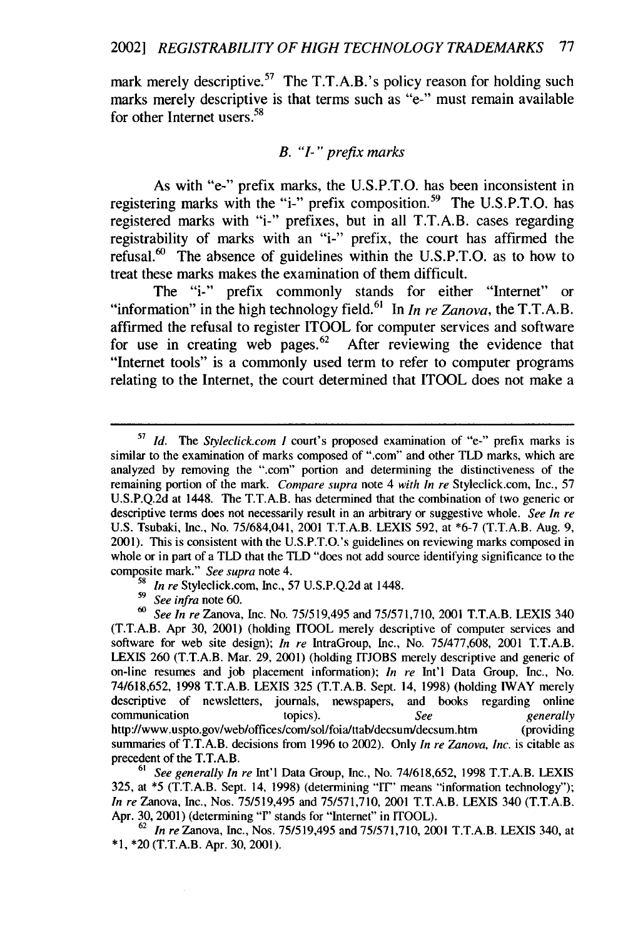mark merely descriptive.<sup>57</sup> The T.T.A.B.'s policy reason for holding such marks merely descriptive is that terms such as **"e-"** must remain available for other Internet users.<sup>58</sup>

#### *B. "I-" prefix marks*

As with "e-" prefix marks, the U.S.P.T.O. has been inconsistent in registering marks with the "i-" prefix composition.<sup>59</sup> The U.S.P.T.O. has registered marks with "i-" prefixes, but in all T.T.A.B. cases regarding registrability of marks with an "i-" prefix, the court has affirmed the refusal. $60$  The absence of guidelines within the U.S.P.T.O. as to how to treat these marks makes the examination of them difficult.

The "i-" prefix commonly stands for either "Internet" or "information" in the high technology field.<sup>61</sup> In *In re Zanova*, the T.T.A.B. affirmed the refusal to register ITOOL for computer services and software for use in creating web pages. $62$  After reviewing the evidence that "Internet tools" is a commonly used term to refer to computer programs relating to the Internet, the court determined that ITOOL does not make a

**<sup>5&#</sup>x27;** *Id.* The *Styleclick.com I* court's proposed examination of "e-" prefix marks is similar to the examination of marks composed of ".com" and other TLD marks, which are analyzed by removing the ".com" portion and determining the distinctiveness of the remaining portion of the mark. Compare *supra* note 4 *with In re* Styleclick.com, Inc., 57 U.S.P.Q.2d at 1448. The T.T.A.B. has determined that the combination of two generic or descriptive terms does not necessarily result in an arbitrary or suggestive whole. *See In re* U.S. Tsubaki, Inc., No. 75/684,041, 2001 T.T.A.B. LEXIS 592, at \*6-7 (T.T.A.B. Aug. 9, 2001). This is consistent with the U.S.P.T.O.'s guidelines on reviewing marks composed in whole or in part of a TLD that the TLD "does not add source identifying significance to the composite mark." *See supra* note 4.

*<sup>58</sup>In re* Styleclick.com, Inc., 57 U.S.P.Q.2d at 1448.

*<sup>59</sup>*See infra note 60. **<sup>60</sup>**See *In* re Zanova, Inc. No. 75/519,495 and 75/571,710, 2001 T.T.A.B. LEXIS 340 (T.T.A.B. Apr 30, 2001) (holding ITOOL merely descriptive of computer services and software for web site design); *In re* IntraGroup, Inc., No. 75/477,608, 2001 T.T.A.B. LEXIS 260 (T.T.A.B. Mar. 29, 2001) (holding ITJOBS merely descriptive and generic of on-line resumes and job placement information); *In re* Int'l Data Group, Inc., No. 74/618,652, 1998 T.T.A.B. LEXIS 325 (T.T.A.B. Sept. 14, 1998) (holding IWAY merely descriptive of newsletters, journals, newspapers, and books regarding online communication topics). *See generally* http://www.uspto.gov/web/offices/com/sol/foia/ttab/decsum/decsum.htm (providing summaries of T.T.A.B. decisions from 1996 to 2002). Only *In re Zanova, Inc.* is citable as precedent of the T.T.A.B.

*<sup>61</sup>* See generally *In* re Int'l Data Group, Inc., No. 74/618,652, 1998 T.T.A.B. LEXIS 325, at \*5 (T.T.A.B. Sept. 14, 1998) (determining "IT" means "information technology"); *In re* Zanova, Inc., Nos. 75/519,495 and 75/571,710, 2001 T.T.A.B. LEXIS 340 (T.T.A.B. Apr. 30, 2001) (determining "T' stands for "Internet" in ITOOL).

**<sup>62</sup>***In re* Zanova, Inc., Nos. 75/519,495 and 75/571,710, 2001 T.T.A.B. LEXIS 340, at \*1, \*20 (T.T.A.B. Apr. 30, 2001).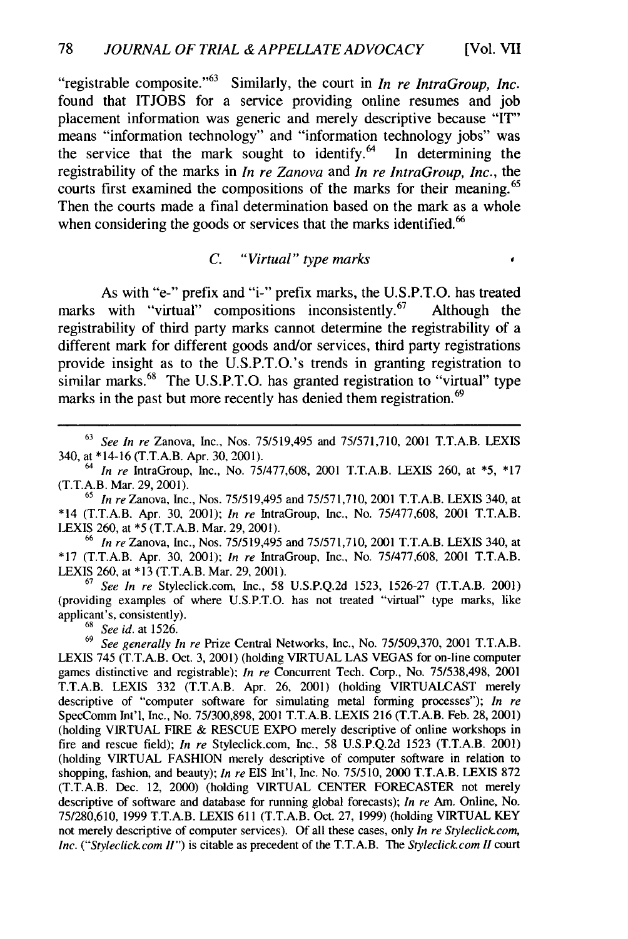"registrable composite. '63 Similarly, the court in *In re IntraGroup, Inc.* found that **ITJOBS** for a service providing online resumes and **job** placement information was generic and merely descriptive because "IT" means "information technology" and "information technology jobs" was the service that the mark sought to identify.<sup>64</sup> In determining the the service that the mark sought to identify.<sup>64</sup> registrability of the marks in *In re Zanova* and *In re IntraGroup, Inc.,* the courts first examined the compositions of the marks for their meaning. <sup>65</sup> Then the courts made a final determination based on the mark as a whole when considering the goods or services that the marks identified.<sup>66</sup>

#### *C. "Virtual" type marks*

ï

As with "e-" prefix and "i-" prefix marks, the **U.S.P.T.O.** has treated marks with "virtual" compositions inconsistently.<sup>67</sup> Although the registrability of third party marks cannot determine the registrability of a different mark for different goods and/or services, third party registrations provide insight as to the U.S.P.T.O.'s trends in granting registration to similar marks.<sup>68</sup> The U.S.P.T.O. has granted registration to "virtual" type marks in the past but more recently has denied them registration.<sup>69</sup>

<sup>66</sup>*In re* Zanova, Inc., Nos. 75/519,495 and 75/571,710, 2001 T.T.A.B. LEXIS 340, at **\*17** (T.T.A.B. Apr. 30, 2001); *In re* IntraGroup, Inc., No. 75/477,608, 2001 T.T.A.B. LEXIS 260, at **\*13** (T.T.A.B. Mar. 29, 2001).

**<sup>67</sup>***See In re* Styleclick.com, Inc., 58 U.S.P.Q.2d 1523, 1526-27 (T.T.A.B. 2001) (providing examples of where U.S.P.T.O. has not treated "virtual" type marks, like applicant's, consistently).

<sup>68</sup>*See id.* at 1526.

**<sup>69</sup>***See generally In re* Prize Central Networks, Inc., No. 75/509,370, 2001 T.T.A.B. LEXIS 745 (T.T.A.B. Oct. 3, 2001) (holding VIRTUAL LAS VEGAS for on-line computer games distinctive and registrable); *In re* Concurrent Tech. Corp., No. 75/538,498, 2001 T.T.A.B. LEXIS 332 (T.T.A.B. Apr. 26, 2001) (holding VIRTUALCAST merely descriptive of "computer software for simulating metal forming processes"); *In re* SpecComm Int'l, Inc., No. 75/300,898, 2001 T.T.A.B. LEXIS 216 (T.T.A.B. Feb. 28, 2001) (holding VIRTUAL FIRE & RESCUE EXPO merely descriptive of online workshops in fire and rescue field); *In re* Styleclick.com, Inc., 58 U.S.P.Q.2d 1523 (T.T.A.B. 2001) (holding VIRTUAL FASHION merely descriptive of computer software in relation to shopping, fashion, and beauty); *In re* EIS Int'l, Inc. No. 75/510, 2000 T.T.A.B. LEXIS 872 (T.T.A.B. Dec. 12, 2000) (holding VIRTUAL CENTER FORECASTER not merely descriptive of software and database for running global forecasts); *In re* Am. Online, No. 75/280,610, 1999 T.T.A.B. LEXIS 611 (T.T.A.B. Oct. 27, 1999) (holding VIRTUAL KEY not merely descriptive of computer services). Of all these cases, only *In re Styleclick.com, Inc. ("Styleclick.com II")* is citable as precedent of the T.T.A.B. The *Styleclick.com II* court

<sup>63</sup>*See In re* Zanova, Inc., Nos. 75/519,495 and 75/571,710, 2001 T.T.A.B. LEXIS 340, at \*14-16 (T.T.A.B. Apr. 30, 2001).

<sup>64</sup>*In re* IntraGroup, Inc., No. 75/477,608, 2001 T.T.A.B. LEXIS 260, at **\*5, \*17** (T.T.A.B. Mar. 29, 2001).

<sup>65</sup>*In re* Zanova, Inc., Nos. 75/519,495 and 75/571,710, 2001 T.T.A.B. LEXIS 340, at \*14 (T.T.A.B. Apr. 30, 2001); *In re* IntraGroup, Inc., No. 75/477,608, 2001 T.T.A.B. LEXIS 260, at \*5 (T.T.A.B. Mar. 29, 2001).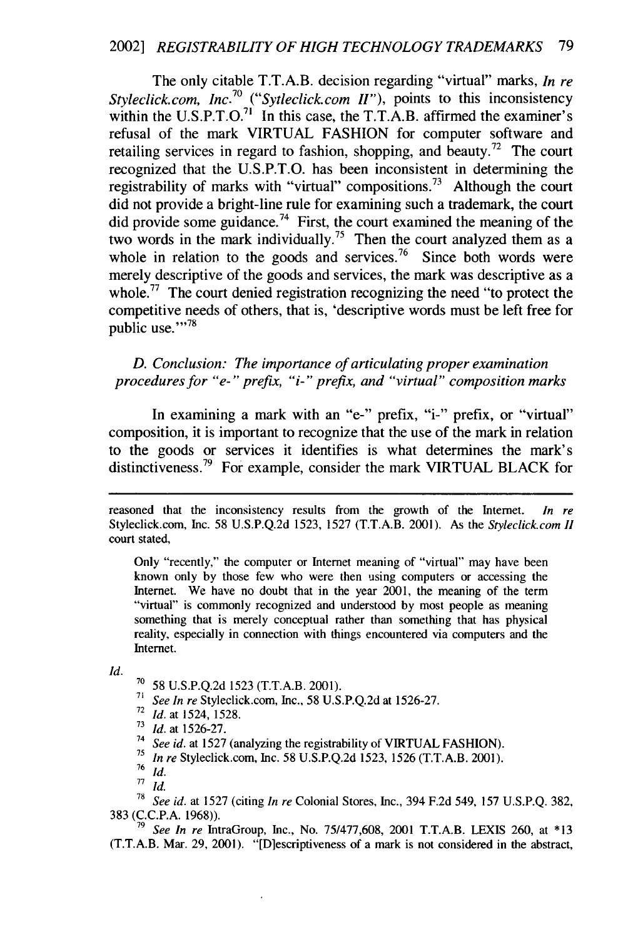The only citable T.T.A.B. decision regarding "virtual" marks, *In re Styleclick.com, Inc.<sup>70</sup>("Sytleclick.com I"),* points to this inconsistency within the U.S.P.T.O.<sup>71</sup> In this case, the T.T.A.B. affirmed the examiner' refusal of the mark VIRTUAL FASHION for computer software and retailing services in regard to fashion, shopping, and beauty.<sup>72</sup> The court recognized that the U.S.P.T.O. has been inconsistent in determining the registrability of marks with "virtual" compositions.<sup>73</sup> Although the court did not provide a bright-line rule for examining such a trademark, the court did provide some guidance.<sup>74</sup> First, the court examined the meaning of the two words in the mark individually.<sup>75</sup> Then the court analyzed them as a whole in relation to the goods and services.<sup>76</sup> Since both words were merely descriptive of the goods and services, the mark was descriptive as a whole.<sup>77</sup> The court denied registration recognizing the need "to protect the competitive needs of others, that is, 'descriptive words must be left free for public use."<sup>78</sup>

*D. Conclusion: The importance of articulating proper examination procedures for "e-" prefix, "i-" prefix, and "virtual" composition marks*

In examining a mark with an "e-" prefix, "i-" prefix, or "virtual" composition, it is important to recognize that the use of the mark in relation to the goods or services it identifies is what determines the mark's distinctiveness.<sup>79</sup> For example, consider the mark VIRTUAL BLACK for

Only "recently," the computer or Internet meaning of "virtual" may have been known only by those few who were then using computers or accessing the Internet. We have no doubt that in the year 2001, the meaning of the term "virtual" is commonly recognized and understood by most people as meaning something that is merely conceptual rather than something that has physical reality, especially in connection with things encountered via computers and the Internet.

*Id.*

<sup>70</sup>58 U.S.P.Q.2d 1523 (T.T.A.B. 2001).

<sup>71</sup>*See In re* Styleclick.com, Inc., 58 U.S.P.Q.2d at 1526-27.

- *<sup>72</sup>Id.* at 1524, 1528.
- **<sup>73</sup>***Id.* at 1526-27.
- **<sup>14</sup>***See id.* at 1527 (analyzing the registrability of VIRTUAL FASHION).
- **<sup>75</sup>***In re* Styleclick.com, Inc. 58 U.S.P.Q.2d 1523, 1526 (T.T.A.B. 2001).
- $rac{76}{77}$  *Id.*
- *Id.*

**<sup>71</sup>***See id.* at 1527 (citing *In re* Colonial Stores, Inc., 394 F.2d 549, 157 U.S.P.Q. 382, 383 (C.C.P.A. 1968)).

**<sup>79</sup>***See In re* IntraGroup, Inc., No. 75/477,608, 2001 T.T.A.B. LEXIS 260, at **\*13** (T.T.A.B. Mar. 29, 2001). "[Dlescriptiveness of a mark is not considered in the abstract,

reasoned that the inconsistency results from the growth of the Internet. *In re* Styleclick.com, Inc. 58 U.S.P.Q.2d 1523, 1527 (T.T.A.B. 2001). As the *Styleclick.com II* court stated,